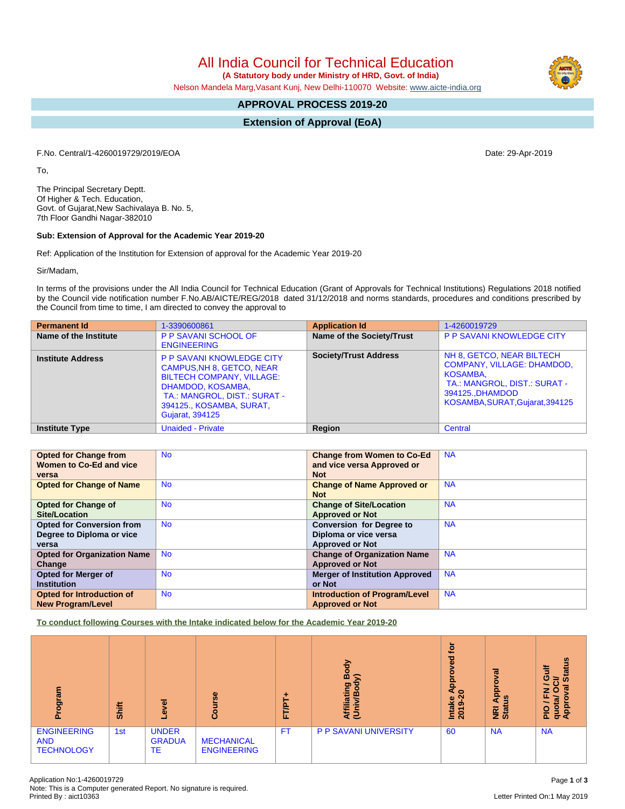All India Council for Technical Education

 **(A Statutory body under Ministry of HRD, Govt. of India)**

Nelson Mandela Marg,Vasant Kunj, New Delhi-110070 Website: [www.aicte-india.org](http://www.aicte-india.org)

# **APPROVAL PROCESS 2019-20**

**Extension of Approval (EoA)**

F.No. Central/1-4260019729/2019/EOA Date: 29-Apr-2019

To,

The Principal Secretary Deptt. Of Higher & Tech. Education, Govt. of Gujarat,New Sachivalaya B. No. 5, 7th Floor Gandhi Nagar-382010

### **Sub: Extension of Approval for the Academic Year 2019-20**

Ref: Application of the Institution for Extension of approval for the Academic Year 2019-20

Sir/Madam,

In terms of the provisions under the All India Council for Technical Education (Grant of Approvals for Technical Institutions) Regulations 2018 notified by the Council vide notification number F.No.AB/AICTE/REG/2018 dated 31/12/2018 and norms standards, procedures and conditions prescribed by the Council from time to time, I am directed to convey the approval to

| <b>Permanent Id</b>      | 1-3390600861                                                                                                                                                                                                 | <b>Application Id</b>        | 1-4260019729                                                                                                                                                   |
|--------------------------|--------------------------------------------------------------------------------------------------------------------------------------------------------------------------------------------------------------|------------------------------|----------------------------------------------------------------------------------------------------------------------------------------------------------------|
| Name of the Institute    | <b>P P SAVANI SCHOOL OF</b><br><b>ENGINEERING</b>                                                                                                                                                            | Name of the Society/Trust    | <b>P P SAVANI KNOWLEDGE CITY</b>                                                                                                                               |
| <b>Institute Address</b> | <b>P P SAVANI KNOWLEDGE CITY</b><br>CAMPUS, NH 8, GETCO, NEAR<br><b>BILTECH COMPANY, VILLAGE:</b><br>DHAMDOD, KOSAMBA,<br>TA.: MANGROL, DIST.: SURAT -<br>394125., KOSAMBA, SURAT,<br><b>Gujarat, 394125</b> | <b>Society/Trust Address</b> | NH 8, GETCO, NEAR BILTECH<br><b>COMPANY, VILLAGE: DHAMDOD,</b><br>KOSAMBA,<br>TA.: MANGROL, DIST.: SURAT -<br>394125DHAMDOD<br>KOSAMBA, SURAT, Gujarat, 394125 |
| <b>Institute Type</b>    | <b>Unaided - Private</b>                                                                                                                                                                                     | <b>Region</b>                | Central                                                                                                                                                        |

| <b>Opted for Change from</b>       | <b>No</b> | <b>Change from Women to Co-Ed</b>     | <b>NA</b> |
|------------------------------------|-----------|---------------------------------------|-----------|
| Women to Co-Ed and vice            |           | and vice versa Approved or            |           |
| versa                              |           | <b>Not</b>                            |           |
| <b>Opted for Change of Name</b>    | <b>No</b> | <b>Change of Name Approved or</b>     | <b>NA</b> |
|                                    |           | <b>Not</b>                            |           |
| <b>Opted for Change of</b>         | <b>No</b> | <b>Change of Site/Location</b>        | <b>NA</b> |
| Site/Location                      |           | <b>Approved or Not</b>                |           |
| <b>Opted for Conversion from</b>   | <b>No</b> | <b>Conversion for Degree to</b>       | <b>NA</b> |
| Degree to Diploma or vice          |           | Diploma or vice versa                 |           |
| versa                              |           | <b>Approved or Not</b>                |           |
| <b>Opted for Organization Name</b> | <b>No</b> | <b>Change of Organization Name</b>    | <b>NA</b> |
| Change                             |           | <b>Approved or Not</b>                |           |
| <b>Opted for Merger of</b>         | <b>No</b> | <b>Merger of Institution Approved</b> | <b>NA</b> |
| <b>Institution</b>                 |           | or Not                                |           |
| <b>Opted for Introduction of</b>   | <b>No</b> | <b>Introduction of Program/Level</b>  | <b>NA</b> |
| <b>New Program/Level</b>           |           | <b>Approved or Not</b>                |           |

**To conduct following Courses with the Intake indicated below for the Academic Year 2019-20**

| me.no.<br>Ω.                                          | Shift | ᠊ᢛ<br>$\omega$                      | rse<br>Cour                             | ۲Æ<br>u. | 융<br>⋒<br>⋦<br>ರಾ<br>Affiliati<br>m<br>₹ | <b>jo</b><br>ಠ<br>٥<br>ē<br>ч<br>$\circ$<br>Intake<br>െ<br>$\overline{\phantom{a}}$<br>$\overline{8}$ | ह<br>ē<br>Āppi<br><b>SO</b><br><b>E</b> at | <b>Status</b><br>₹<br>O<br>₩<br>$\sigma$<br>z<br>O<br>ш.<br>e,<br>ο<br>quota<br>Appr<br>$\overline{\mathsf{C}}$<br>ā. |
|-------------------------------------------------------|-------|-------------------------------------|-----------------------------------------|----------|------------------------------------------|-------------------------------------------------------------------------------------------------------|--------------------------------------------|-----------------------------------------------------------------------------------------------------------------------|
| <b>ENGINEERING</b><br><b>AND</b><br><b>TECHNOLOGY</b> | 1st   | <b>UNDER</b><br><b>GRADUA</b><br>TE | <b>MECHANICAL</b><br><b>ENGINEERING</b> | F1       | <b>P P SAVANI UNIVERSITY</b>             | 60                                                                                                    | <b>NA</b>                                  | <b>NA</b>                                                                                                             |

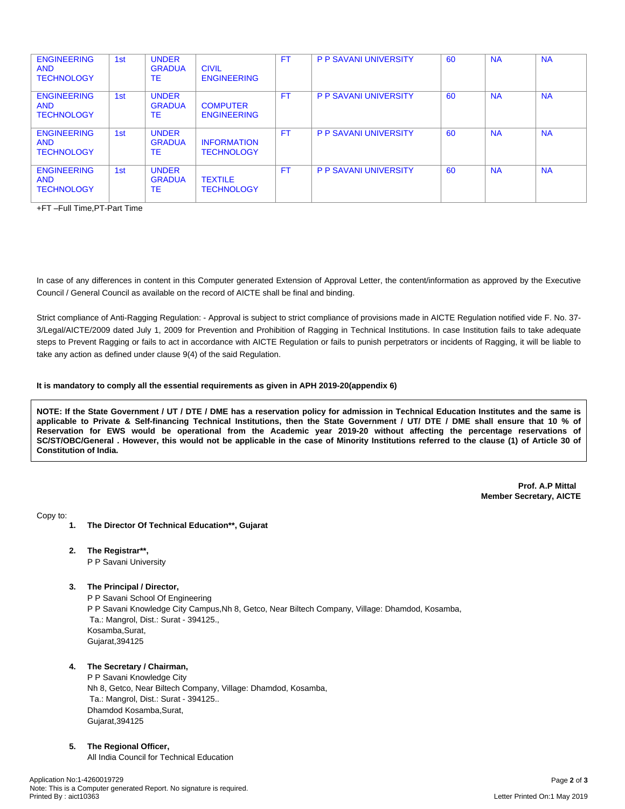| <b>ENGINEERING</b><br><b>AND</b><br><b>TECHNOLOGY</b> | 1st | <b>UNDER</b><br><b>GRADUA</b><br>ТE | <b>CIVIL</b><br><b>ENGINEERING</b>      | <b>FT</b> | <b>P P SAVANI UNIVERSITY</b> | 60 | <b>NA</b> | <b>NA</b> |
|-------------------------------------------------------|-----|-------------------------------------|-----------------------------------------|-----------|------------------------------|----|-----------|-----------|
| <b>ENGINEERING</b><br><b>AND</b><br><b>TECHNOLOGY</b> | 1st | <b>UNDER</b><br><b>GRADUA</b><br>ТE | <b>COMPUTER</b><br><b>ENGINEERING</b>   | <b>FT</b> | <b>P P SAVANI UNIVERSITY</b> | 60 | <b>NA</b> | <b>NA</b> |
| <b>ENGINEERING</b><br><b>AND</b><br><b>TECHNOLOGY</b> | 1st | <b>UNDER</b><br><b>GRADUA</b><br>ТE | <b>INFORMATION</b><br><b>TECHNOLOGY</b> | FT.       | <b>P P SAVANI UNIVERSITY</b> | 60 | <b>NA</b> | <b>NA</b> |
| <b>ENGINEERING</b><br><b>AND</b><br><b>TECHNOLOGY</b> | 1st | <b>UNDER</b><br><b>GRADUA</b><br>ТE | <b>TEXTILE</b><br><b>TECHNOLOGY</b>     | FT.       | <b>P P SAVANI UNIVERSITY</b> | 60 | <b>NA</b> | <b>NA</b> |

+FT –Full Time,PT-Part Time

In case of any differences in content in this Computer generated Extension of Approval Letter, the content/information as approved by the Executive Council / General Council as available on the record of AICTE shall be final and binding.

Strict compliance of Anti-Ragging Regulation: - Approval is subject to strict compliance of provisions made in AICTE Regulation notified vide F. No. 37- 3/Legal/AICTE/2009 dated July 1, 2009 for Prevention and Prohibition of Ragging in Technical Institutions. In case Institution fails to take adequate steps to Prevent Ragging or fails to act in accordance with AICTE Regulation or fails to punish perpetrators or incidents of Ragging, it will be liable to take any action as defined under clause 9(4) of the said Regulation.

#### **It is mandatory to comply all the essential requirements as given in APH 2019-20(appendix 6)**

NOTE: If the State Government / UT / DTE / DME has a reservation policy for admission in Technical Education Institutes and the same is applicable to Private & Self-financing Technical Institutions, then the State Government / UT/ DTE / DME shall ensure that 10 % of Reservation for EWS would be operational from the Academic year 2019-20 without affecting the percentage reservations of SC/ST/OBC/General . However, this would not be applicable in the case of Minority Institutions referred to the clause (1) of Article 30 of **Constitution of India.**

> **Prof. A.P Mittal Member Secretary, AICTE**

Copy to:

- **1. The Director Of Technical Education\*\*, Gujarat**
- **2. The Registrar\*\*,** P P Savani University
- **3. The Principal / Director,**

P P Savani School Of Engineering P P Savani Knowledge City Campus,Nh 8, Getco, Near Biltech Company, Village: Dhamdod, Kosamba, Ta.: Mangrol, Dist.: Surat - 394125., Kosamba,Surat, Gujarat,394125

## **4. The Secretary / Chairman,**

P P Savani Knowledge City Nh 8, Getco, Near Biltech Company, Village: Dhamdod, Kosamba, Ta.: Mangrol, Dist.: Surat - 394125.. Dhamdod Kosamba,Surat, Gujarat,394125

#### **5. The Regional Officer,**

All India Council for Technical Education